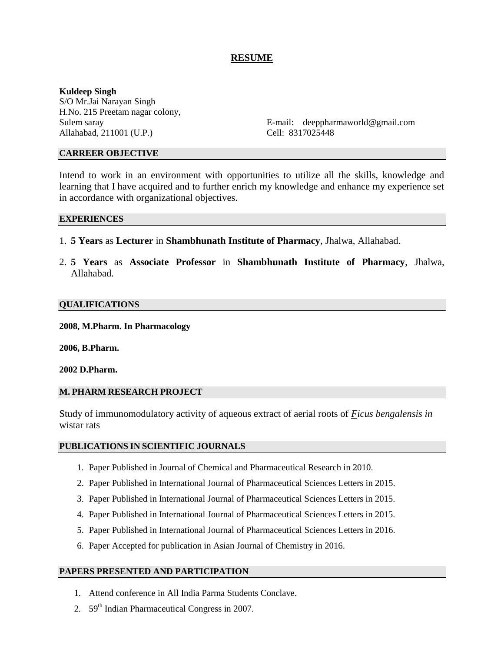# **RESUME**

# **Kuldeep Singh**

S/O Mr.Jai Narayan Singh H.No. 215 Preetam nagar colony, Allahabad, 211001 (U.P.) Cell: 8317025448

Sulem saray **E-mail:** deeppharmaworld@gmail.com

# **CARREER OBJECTIVE**

Intend to work in an environment with opportunities to utilize all the skills, knowledge and learning that I have acquired and to further enrich my knowledge and enhance my experience set in accordance with organizational objectives.

## **EXPERIENCES**

- 1. **5 Years** as **Lecturer** in **Shambhunath Institute of Pharmacy**, Jhalwa, Allahabad.
- 2. **5 Years** as **Associate Professor** in **Shambhunath Institute of Pharmacy**, Jhalwa, Allahabad.

## **QUALIFICATIONS**

**2008, M.Pharm. In Pharmacology**

**2006, B.Pharm.**

**2002 D.Pharm.**

# **M. PHARM RESEARCH PROJECT**

Study of immunomodulatory activity of aqueous extract of aerial roots of *Ficus bengalensis in*  wistar rats

# **PUBLICATIONS IN SCIENTIFIC JOURNALS**

- 1. Paper Published in Journal of Chemical and Pharmaceutical Research in 2010.
- 2. Paper Published in International Journal of Pharmaceutical Sciences Letters in 2015.
- 3. Paper Published in International Journal of Pharmaceutical Sciences Letters in 2015.
- 4. Paper Published in International Journal of Pharmaceutical Sciences Letters in 2015.
- 5. Paper Published in International Journal of Pharmaceutical Sciences Letters in 2016.
- 6. Paper Accepted for publication in Asian Journal of Chemistry in 2016.

# **PAPERS PRESENTED AND PARTICIPATION**

- 1. Attend conference in All India Parma Students Conclave.
- 2.  $59<sup>th</sup> Indian Pharmacautical Congress in 2007.$